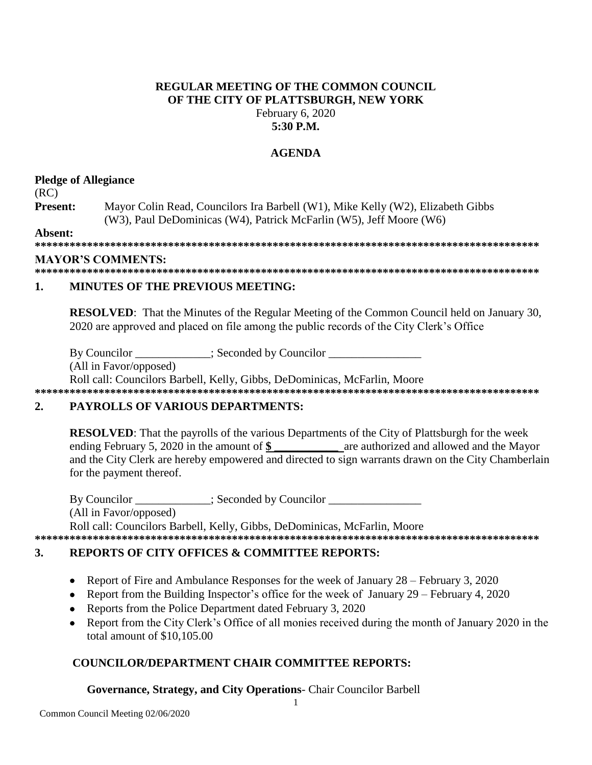### **REGULAR MEETING OF THE COMMON COUNCIL OF THE CITY OF PLATTSBURGH, NEW YORK** February 6, 2020 **5:30 P.M.**

## **AGENDA**

# **Pledge of Allegiance**

(RC)

**Present:** Mayor Colin Read, Councilors Ira Barbell (W1), Mike Kelly (W2), Elizabeth Gibbs (W3), Paul DeDominicas (W4), Patrick McFarlin (W5), Jeff Moore (W6)

**Absent:**

**\*\*\*\*\*\*\*\*\*\*\*\*\*\*\*\*\*\*\*\*\*\*\*\*\*\*\*\*\*\*\*\*\*\*\*\*\*\*\*\*\*\*\*\*\*\*\*\*\*\*\*\*\*\*\*\*\*\*\*\*\*\*\*\*\*\*\*\*\*\*\*\*\*\*\*\*\*\*\*\*\*\*\*\*\*\*\***

### **MAYOR'S COMMENTS:**

**\*\*\*\*\*\*\*\*\*\*\*\*\*\*\*\*\*\*\*\*\*\*\*\*\*\*\*\*\*\*\*\*\*\*\*\*\*\*\*\*\*\*\*\*\*\*\*\*\*\*\*\*\*\*\*\*\*\*\*\*\*\*\*\*\*\*\*\*\*\*\*\*\*\*\*\*\*\*\*\*\*\*\*\*\*\*\***

# **1. MINUTES OF THE PREVIOUS MEETING:**

**RESOLVED:** That the Minutes of the Regular Meeting of the Common Council held on January 30, 2020 are approved and placed on file among the public records of the City Clerk's Office

By Councilor \_\_\_\_\_\_\_\_\_\_\_; Seconded by Councilor \_\_\_\_\_\_\_\_\_\_\_\_\_\_\_\_\_\_\_\_\_\_\_\_\_\_\_\_\_\_\_\_\_

(All in Favor/opposed)

Roll call: Councilors Barbell, Kelly, Gibbs, DeDominicas, McFarlin, Moore **\*\*\*\*\*\*\*\*\*\*\*\*\*\*\*\*\*\*\*\*\*\*\*\*\*\*\*\*\*\*\*\*\*\*\*\*\*\*\*\*\*\*\*\*\*\*\*\*\*\*\*\*\*\*\*\*\*\*\*\*\*\*\*\*\*\*\*\*\*\*\*\*\*\*\*\*\*\*\*\*\*\*\*\*\*\*\***

# **2. PAYROLLS OF VARIOUS DEPARTMENTS:**

**RESOLVED**: That the payrolls of the various Departments of the City of Plattsburgh for the week ending February 5, 2020 in the amount of \$ are authorized and allowed and the Mayor and the City Clerk are hereby empowered and directed to sign warrants drawn on the City Chamberlain for the payment thereof.

By Councilor  $\qquad \qquad :$  Seconded by Councilor (All in Favor/opposed) Roll call: Councilors Barbell, Kelly, Gibbs, DeDominicas, McFarlin, Moore

### **\*\*\*\*\*\*\*\*\*\*\*\*\*\*\*\*\*\*\*\*\*\*\*\*\*\*\*\*\*\*\*\*\*\*\*\*\*\*\*\*\*\*\*\*\*\*\*\*\*\*\*\*\*\*\*\*\*\*\*\*\*\*\*\*\*\*\*\*\*\*\*\*\*\*\*\*\*\*\*\*\*\*\*\*\*\*\***

# **3. REPORTS OF CITY OFFICES & COMMITTEE REPORTS:**

- Report of Fire and Ambulance Responses for the week of January 28 February 3, 2020
- Report from the Building Inspector's office for the week of January 29 February 4, 2020
- Reports from the Police Department dated February 3, 2020
- Report from the City Clerk's Office of all monies received during the month of January 2020 in the total amount of \$10,105.00

# **COUNCILOR/DEPARTMENT CHAIR COMMITTEE REPORTS:**

# **Governance, Strategy, and City Operations**- Chair Councilor Barbell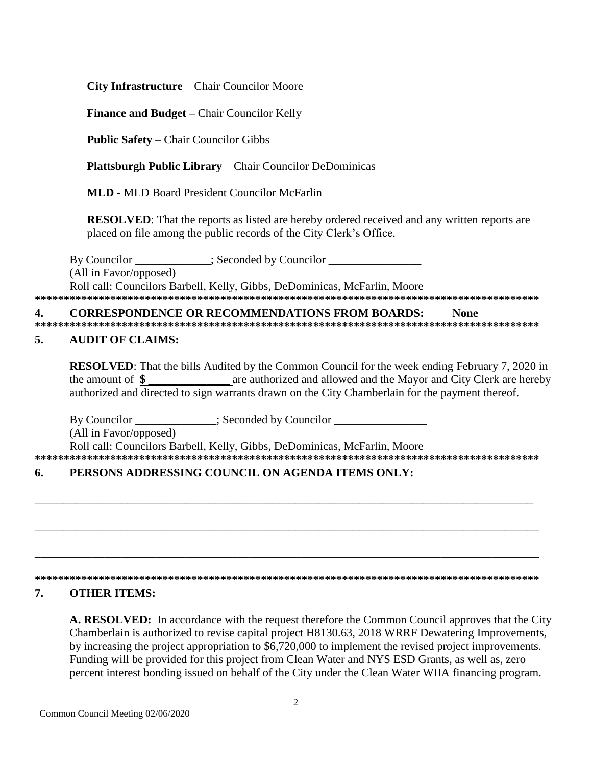City Infrastructure – Chair Councilor Moore

**Finance and Budget – Chair Councilor Kelly** 

**Public Safety – Chair Councilor Gibbs** 

**Plattsburgh Public Library – Chair Councilor DeDominicas** 

**MLD - MLD Board President Councilor McFarlin** 

**RESOLVED:** That the reports as listed are hereby ordered received and any written reports are placed on file among the public records of the City Clerk's Office.

By Councilor (All in Favor/opposed) Roll call: Councilors Barbell, Kelly, Gibbs, DeDominicas, McFarlin, Moore 

#### **CORRESPONDENCE OR RECOMMENDATIONS FROM BOARDS:** 4. **None**

#### 5. **AUDIT OF CLAIMS:**

**RESOLVED:** That the bills Audited by the Common Council for the week ending February 7, 2020 in are authorized and allowed and the Mayor and City Clerk are hereby the amount of  $\$ authorized and directed to sign warrants drawn on the City Chamberlain for the payment thereof.

Seconded by Councilor By Councilor (All in Favor/opposed) Roll call: Councilors Barbell, Kelly, Gibbs, DeDominicas, McFarlin, Moore 

### PERSONS ADDRESSING COUNCIL ON AGENDA ITEMS ONLY: 6.

#### 7. **OTHER ITEMS:**

A. RESOLVED: In accordance with the request therefore the Common Council approves that the City Chamberlain is authorized to revise capital project H8130.63, 2018 WRRF Dewatering Improvements, by increasing the project appropriation to \$6,720,000 to implement the revised project improvements. Funding will be provided for this project from Clean Water and NYS ESD Grants, as well as, zero percent interest bonding issued on behalf of the City under the Clean Water WIIA financing program.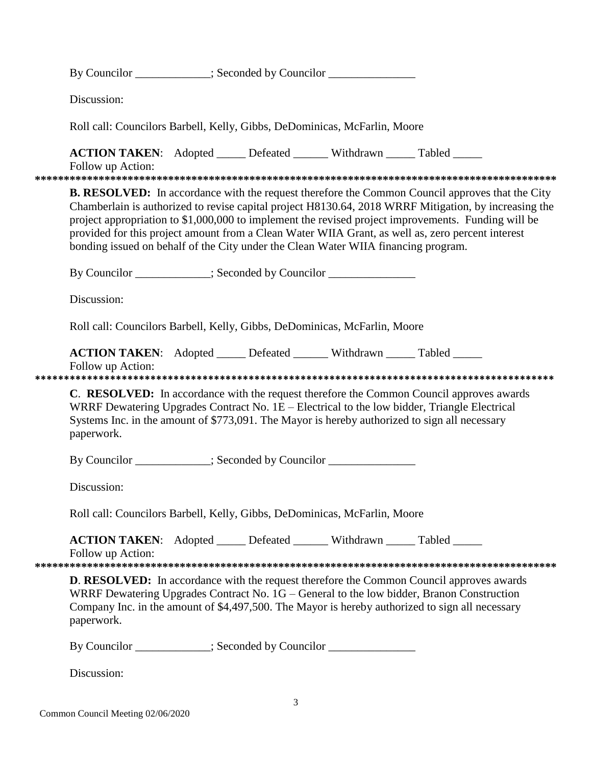|                                                                                                                                                                                                                                                                                                                                                                                                                                                                                                                   |                                                                           | By Councilor ___________; Seconded by Councilor _______________                               |                                                                                                                                                                                                                                                                                                 |  |  |  |  |  |
|-------------------------------------------------------------------------------------------------------------------------------------------------------------------------------------------------------------------------------------------------------------------------------------------------------------------------------------------------------------------------------------------------------------------------------------------------------------------------------------------------------------------|---------------------------------------------------------------------------|-----------------------------------------------------------------------------------------------|-------------------------------------------------------------------------------------------------------------------------------------------------------------------------------------------------------------------------------------------------------------------------------------------------|--|--|--|--|--|
| Discussion:                                                                                                                                                                                                                                                                                                                                                                                                                                                                                                       |                                                                           |                                                                                               |                                                                                                                                                                                                                                                                                                 |  |  |  |  |  |
|                                                                                                                                                                                                                                                                                                                                                                                                                                                                                                                   | Roll call: Councilors Barbell, Kelly, Gibbs, DeDominicas, McFarlin, Moore |                                                                                               |                                                                                                                                                                                                                                                                                                 |  |  |  |  |  |
| Follow up Action:                                                                                                                                                                                                                                                                                                                                                                                                                                                                                                 |                                                                           | <b>ACTION TAKEN:</b> Adopted _____ Defeated ______ Withdrawn _____ Tabled _____               |                                                                                                                                                                                                                                                                                                 |  |  |  |  |  |
| <b>B. RESOLVED:</b> In accordance with the request therefore the Common Council approves that the City<br>Chamberlain is authorized to revise capital project H8130.64, 2018 WRRF Mitigation, by increasing the<br>project appropriation to \$1,000,000 to implement the revised project improvements. Funding will be<br>provided for this project amount from a Clean Water WIIA Grant, as well as, zero percent interest<br>bonding issued on behalf of the City under the Clean Water WIIA financing program. |                                                                           |                                                                                               |                                                                                                                                                                                                                                                                                                 |  |  |  |  |  |
| By Councilor ___________; Seconded by Councilor ______________                                                                                                                                                                                                                                                                                                                                                                                                                                                    |                                                                           |                                                                                               |                                                                                                                                                                                                                                                                                                 |  |  |  |  |  |
| Discussion:                                                                                                                                                                                                                                                                                                                                                                                                                                                                                                       |                                                                           |                                                                                               |                                                                                                                                                                                                                                                                                                 |  |  |  |  |  |
|                                                                                                                                                                                                                                                                                                                                                                                                                                                                                                                   | Roll call: Councilors Barbell, Kelly, Gibbs, DeDominicas, McFarlin, Moore |                                                                                               |                                                                                                                                                                                                                                                                                                 |  |  |  |  |  |
| Follow up Action:                                                                                                                                                                                                                                                                                                                                                                                                                                                                                                 |                                                                           | <b>ACTION TAKEN:</b> Adopted _____ Defeated ______ Withdrawn _____ Tabled _____               |                                                                                                                                                                                                                                                                                                 |  |  |  |  |  |
| paperwork.                                                                                                                                                                                                                                                                                                                                                                                                                                                                                                        |                                                                           | Systems Inc. in the amount of \$773,091. The Mayor is hereby authorized to sign all necessary | C. RESOLVED: In accordance with the request therefore the Common Council approves awards<br>WRRF Dewatering Upgrades Contract No. 1E – Electrical to the low bidder, Triangle Electrical                                                                                                        |  |  |  |  |  |
|                                                                                                                                                                                                                                                                                                                                                                                                                                                                                                                   | By Councilor ___________; Seconded by Councilor ______________            |                                                                                               |                                                                                                                                                                                                                                                                                                 |  |  |  |  |  |
| Discussion:                                                                                                                                                                                                                                                                                                                                                                                                                                                                                                       |                                                                           |                                                                                               |                                                                                                                                                                                                                                                                                                 |  |  |  |  |  |
|                                                                                                                                                                                                                                                                                                                                                                                                                                                                                                                   | Roll call: Councilors Barbell, Kelly, Gibbs, DeDominicas, McFarlin, Moore |                                                                                               |                                                                                                                                                                                                                                                                                                 |  |  |  |  |  |
| Follow up Action:                                                                                                                                                                                                                                                                                                                                                                                                                                                                                                 |                                                                           | ACTION TAKEN: Adopted _____ Defeated ______ Withdrawn _____ Tabled _____                      |                                                                                                                                                                                                                                                                                                 |  |  |  |  |  |
| paperwork.                                                                                                                                                                                                                                                                                                                                                                                                                                                                                                        |                                                                           |                                                                                               | <b>D. RESOLVED:</b> In accordance with the request therefore the Common Council approves awards<br>WRRF Dewatering Upgrades Contract No. 1G – General to the low bidder, Branon Construction<br>Company Inc. in the amount of \$4,497,500. The Mayor is hereby authorized to sign all necessary |  |  |  |  |  |
|                                                                                                                                                                                                                                                                                                                                                                                                                                                                                                                   |                                                                           | By Councilor ___________; Seconded by Councilor _______________                               |                                                                                                                                                                                                                                                                                                 |  |  |  |  |  |
| Discussion:                                                                                                                                                                                                                                                                                                                                                                                                                                                                                                       |                                                                           |                                                                                               |                                                                                                                                                                                                                                                                                                 |  |  |  |  |  |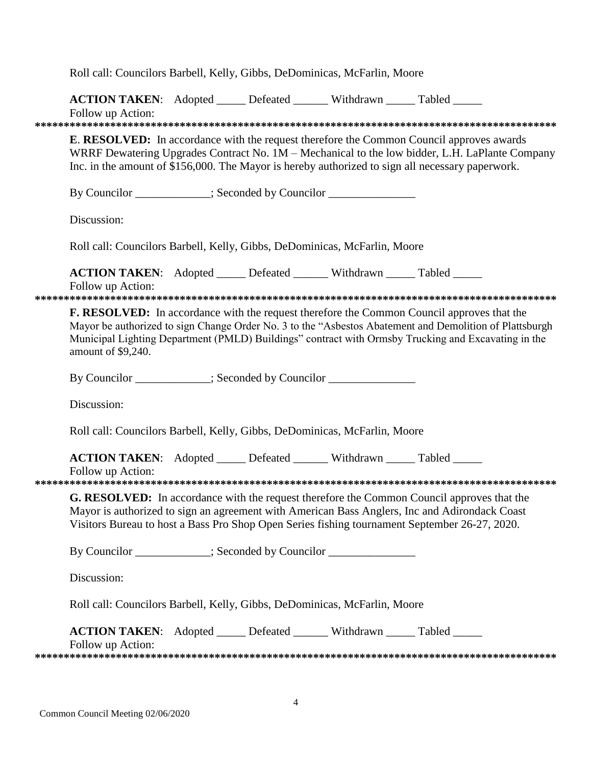|                                                                                                                                                                                                                                                                                                                                           | Roll call: Councilors Barbell, Kelly, Gibbs, DeDominicas, McFarlin, Moore                            |  |  |  |  |  |  |  |  |
|-------------------------------------------------------------------------------------------------------------------------------------------------------------------------------------------------------------------------------------------------------------------------------------------------------------------------------------------|------------------------------------------------------------------------------------------------------|--|--|--|--|--|--|--|--|
|                                                                                                                                                                                                                                                                                                                                           | <b>ACTION TAKEN:</b> Adopted _____ Defeated ______ Withdrawn _____ Tabled _____<br>Follow up Action: |  |  |  |  |  |  |  |  |
| <b>E. RESOLVED:</b> In accordance with the request therefore the Common Council approves awards<br>WRRF Dewatering Upgrades Contract No. 1M – Mechanical to the low bidder, L.H. LaPlante Company<br>Inc. in the amount of \$156,000. The Mayor is hereby authorized to sign all necessary paperwork.                                     |                                                                                                      |  |  |  |  |  |  |  |  |
|                                                                                                                                                                                                                                                                                                                                           | By Councilor ___________; Seconded by Councilor ______________                                       |  |  |  |  |  |  |  |  |
|                                                                                                                                                                                                                                                                                                                                           | Discussion:                                                                                          |  |  |  |  |  |  |  |  |
| Roll call: Councilors Barbell, Kelly, Gibbs, DeDominicas, McFarlin, Moore                                                                                                                                                                                                                                                                 |                                                                                                      |  |  |  |  |  |  |  |  |
|                                                                                                                                                                                                                                                                                                                                           | ACTION TAKEN: Adopted _____ Defeated ______ Withdrawn _____ Tabled _____<br>Follow up Action:        |  |  |  |  |  |  |  |  |
| <b>F. RESOLVED:</b> In accordance with the request therefore the Common Council approves that the<br>Mayor be authorized to sign Change Order No. 3 to the "Asbestos Abatement and Demolition of Plattsburgh<br>Municipal Lighting Department (PMLD) Buildings" contract with Ormsby Trucking and Excavating in the<br>amount of \$9,240. |                                                                                                      |  |  |  |  |  |  |  |  |
|                                                                                                                                                                                                                                                                                                                                           | By Councilor __________; Seconded by Councilor ______________                                        |  |  |  |  |  |  |  |  |
|                                                                                                                                                                                                                                                                                                                                           | Discussion:                                                                                          |  |  |  |  |  |  |  |  |
|                                                                                                                                                                                                                                                                                                                                           | Roll call: Councilors Barbell, Kelly, Gibbs, DeDominicas, McFarlin, Moore                            |  |  |  |  |  |  |  |  |
|                                                                                                                                                                                                                                                                                                                                           | ACTION TAKEN: Adopted _____ Defeated ______ Withdrawn _____ Tabled _____<br>Follow up Action:        |  |  |  |  |  |  |  |  |
| G. RESOLVED: In accordance with the request therefore the Common Council approves that the<br>Mayor is authorized to sign an agreement with American Bass Anglers, Inc and Adirondack Coast<br>Visitors Bureau to host a Bass Pro Shop Open Series fishing tournament September 26-27, 2020.                                              |                                                                                                      |  |  |  |  |  |  |  |  |
|                                                                                                                                                                                                                                                                                                                                           | By Councilor ____________; Seconded by Councilor ________________                                    |  |  |  |  |  |  |  |  |
|                                                                                                                                                                                                                                                                                                                                           | Discussion:                                                                                          |  |  |  |  |  |  |  |  |
|                                                                                                                                                                                                                                                                                                                                           | Roll call: Councilors Barbell, Kelly, Gibbs, DeDominicas, McFarlin, Moore                            |  |  |  |  |  |  |  |  |
|                                                                                                                                                                                                                                                                                                                                           | ACTION TAKEN: Adopted _____ Defeated ______ Withdrawn _____ Tabled _____<br>Follow up Action:        |  |  |  |  |  |  |  |  |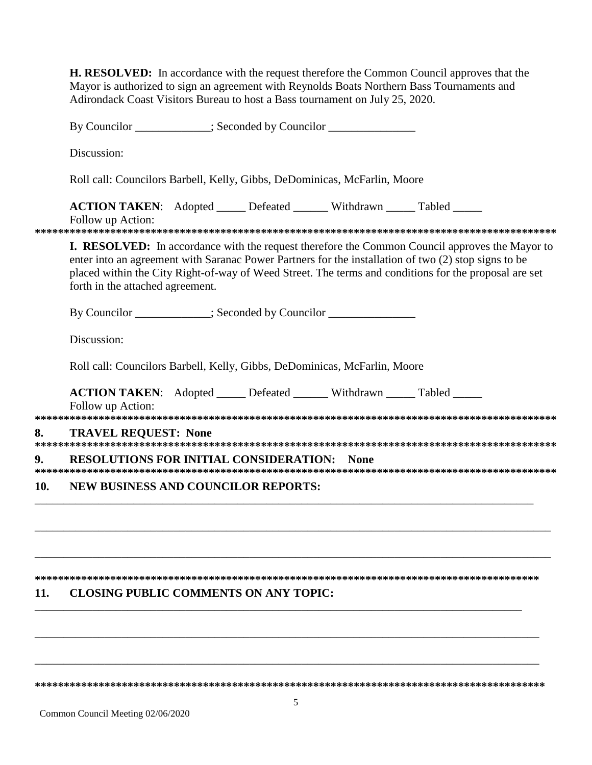**H. RESOLVED:** In accordance with the request therefore the Common Council approves that the Mayor is authorized to sign an agreement with Reynolds Boats Northern Bass Tournaments and Adirondack Coast Visitors Bureau to host a Bass tournament on July 25, 2020.

By Councilor \_\_\_\_\_\_\_\_\_\_\_\_; Seconded by Councilor \_\_\_\_\_\_\_\_\_\_\_\_\_\_\_\_\_\_\_\_\_\_\_\_\_\_\_\_\_\_\_ Discussion: Roll call: Councilors Barbell, Kelly, Gibbs, DeDominicas, McFarlin, Moore **ACTION TAKEN:** Adopted Defeated Withdrawn Tabled Follow up Action: **I. RESOLVED:** In accordance with the request therefore the Common Council approves the Mayor to enter into an agreement with Saranac Power Partners for the installation of two (2) stop signs to be placed within the City Right-of-way of Weed Street. The terms and conditions for the proposal are set forth in the attached agreement. By Councilor \_\_\_\_\_\_\_\_\_\_; Seconded by Councilor \_\_\_\_\_\_\_\_\_\_\_\_\_\_ Discussion: Roll call: Councilors Barbell, Kelly, Gibbs, DeDominicas, McFarlin, Moore **ACTION TAKEN:** Adopted Defeated Withdrawn Tabled Follow up Action: 8. **TRAVEL REQUEST: None**  $9<sub>l</sub>$ **RESOLUTIONS FOR INITIAL CONSIDERATION: None NEW BUSINESS AND COUNCILOR REPORTS:** 10.

### 11. **CLOSING PUBLIC COMMENTS ON ANY TOPIC:**